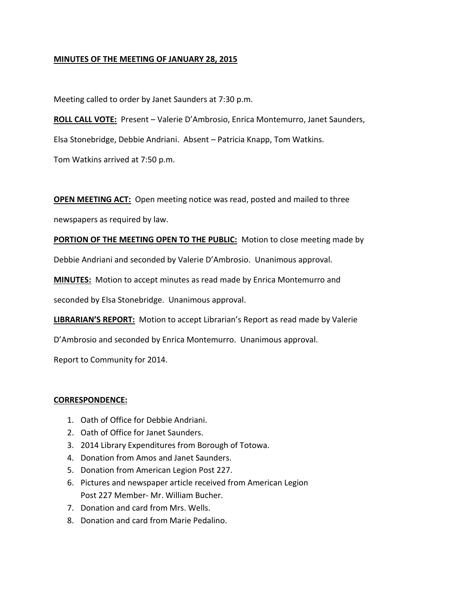# **MINUTES OF THE MEETING OF JANUARY 28, 2015**

Meeting called to order by Janet Saunders at 7:30 p.m.

**ROLL CALL VOTE:** Present – Valerie D'Ambrosio, Enrica Montemurro, Janet Saunders, Elsa Stonebridge, Debbie Andriani. Absent – Patricia Knapp, Tom Watkins.

Tom Watkins arrived at 7:50 p.m.

**OPEN MEETING ACT:** Open meeting notice was read, posted and mailed to three

newspapers as required by law.

**PORTION OF THE MEETING OPEN TO THE PUBLIC:** Motion to close meeting made by

Debbie Andriani and seconded by Valerie D'Ambrosio. Unanimous approval.

**MINUTES:** Motion to accept minutes as read made by Enrica Montemurro and

seconded by Elsa Stonebridge. Unanimous approval.

**LIBRARIAN'S REPORT:** Motion to accept Librarian's Report as read made by Valerie

D'Ambrosio and seconded by Enrica Montemurro. Unanimous approval.

Report to Community for 2014.

# **CORRESPONDENCE:**

- 1. Oath of Office for Debbie Andriani.
- 2. Oath of Office for Janet Saunders.
- 3. 2014 Library Expenditures from Borough of Totowa.
- 4. Donation from Amos and Janet Saunders.
- 5. Donation from American Legion Post 227.
- 6. Pictures and newspaper article received from American Legion Post 227 Member- Mr. William Bucher.
- 7. Donation and card from Mrs. Wells.
- 8. Donation and card from Marie Pedalino.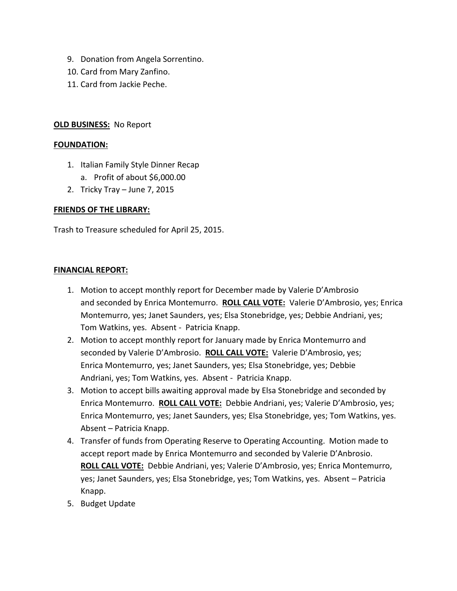- 9. Donation from Angela Sorrentino.
- 10. Card from Mary Zanfino.
- 11. Card from Jackie Peche.

# **OLD BUSINESS:** No Report

#### **FOUNDATION:**

- 1. Italian Family Style Dinner Recap
	- a. Profit of about \$6,000.00
- 2. Tricky Tray June 7, 2015

# **FRIENDS OF THE LIBRARY:**

Trash to Treasure scheduled for April 25, 2015.

### **FINANCIAL REPORT:**

- 1. Motion to accept monthly report for December made by Valerie D'Ambrosio and seconded by Enrica Montemurro. **ROLL CALL VOTE:** Valerie D'Ambrosio, yes; Enrica Montemurro, yes; Janet Saunders, yes; Elsa Stonebridge, yes; Debbie Andriani, yes; Tom Watkins, yes. Absent - Patricia Knapp.
- 2. Motion to accept monthly report for January made by Enrica Montemurro and seconded by Valerie D'Ambrosio. **ROLL CALL VOTE:** Valerie D'Ambrosio, yes; Enrica Montemurro, yes; Janet Saunders, yes; Elsa Stonebridge, yes; Debbie Andriani, yes; Tom Watkins, yes. Absent - Patricia Knapp.
- 3. Motion to accept bills awaiting approval made by Elsa Stonebridge and seconded by Enrica Montemurro. **ROLL CALL VOTE:** Debbie Andriani, yes; Valerie D'Ambrosio, yes; Enrica Montemurro, yes; Janet Saunders, yes; Elsa Stonebridge, yes; Tom Watkins, yes. Absent – Patricia Knapp.
- 4. Transfer of funds from Operating Reserve to Operating Accounting. Motion made to accept report made by Enrica Montemurro and seconded by Valerie D'Anbrosio. **ROLL CALL VOTE:** Debbie Andriani, yes; Valerie D'Ambrosio, yes; Enrica Montemurro, yes; Janet Saunders, yes; Elsa Stonebridge, yes; Tom Watkins, yes. Absent – Patricia Knapp.
- 5. Budget Update